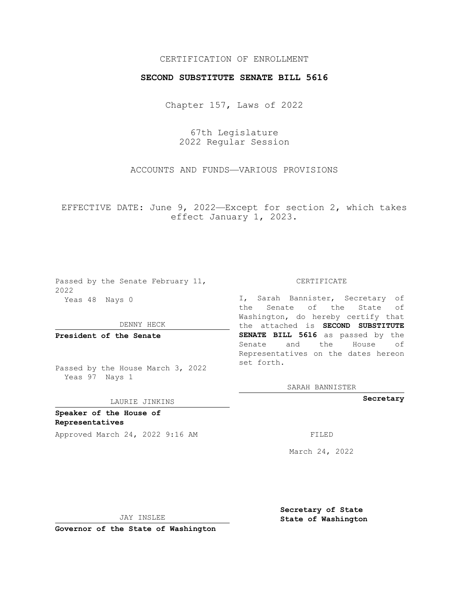## CERTIFICATION OF ENROLLMENT

## **SECOND SUBSTITUTE SENATE BILL 5616**

Chapter 157, Laws of 2022

67th Legislature 2022 Regular Session

ACCOUNTS AND FUNDS—VARIOUS PROVISIONS

EFFECTIVE DATE: June 9, 2022—Except for section 2, which takes effect January 1, 2023.

Passed by the Senate February 11, 2022 Yeas 48 Nays 0

DENNY HECK

**President of the Senate**

Passed by the House March 3, 2022 Yeas 97 Nays 1

## LAURIE JINKINS

**Speaker of the House of Representatives**

Approved March 24, 2022 9:16 AM

CERTIFICATE

I, Sarah Bannister, Secretary of the Senate of the State of Washington, do hereby certify that the attached is **SECOND SUBSTITUTE SENATE BILL 5616** as passed by the Senate and the House of Representatives on the dates hereon set forth.

SARAH BANNISTER

**Secretary**

March 24, 2022

JAY INSLEE

**Secretary of State State of Washington**

**Governor of the State of Washington**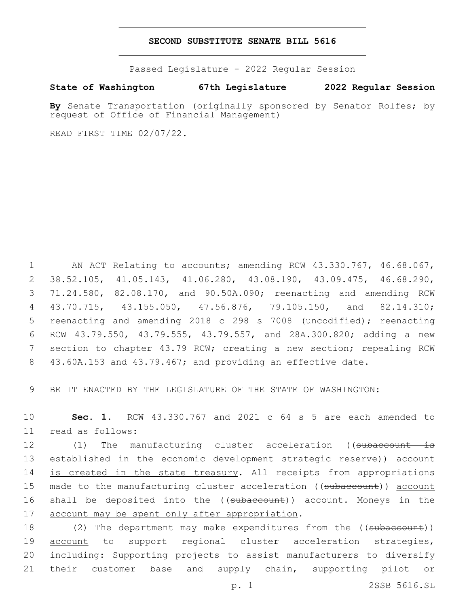## **SECOND SUBSTITUTE SENATE BILL 5616**

Passed Legislature - 2022 Regular Session

**State of Washington 67th Legislature 2022 Regular Session**

**By** Senate Transportation (originally sponsored by Senator Rolfes; by request of Office of Financial Management)

READ FIRST TIME 02/07/22.

 AN ACT Relating to accounts; amending RCW 43.330.767, 46.68.067, 38.52.105, 41.05.143, 41.06.280, 43.08.190, 43.09.475, 46.68.290, 71.24.580, 82.08.170, and 90.50A.090; reenacting and amending RCW 43.70.715, 43.155.050, 47.56.876, 79.105.150, and 82.14.310; reenacting and amending 2018 c 298 s 7008 (uncodified); reenacting RCW 43.79.550, 43.79.555, 43.79.557, and 28A.300.820; adding a new section to chapter 43.79 RCW; creating a new section; repealing RCW 43.60A.153 and 43.79.467; and providing an effective date.

9 BE IT ENACTED BY THE LEGISLATURE OF THE STATE OF WASHINGTON:

10 **Sec. 1.** RCW 43.330.767 and 2021 c 64 s 5 are each amended to read as follows:11

12 (1) The manufacturing cluster acceleration ((subaccount is 13 established in the economic development strategic reserve)) account 14 is created in the state treasury. All receipts from appropriations 15 made to the manufacturing cluster acceleration ((subaccount)) account 16 shall be deposited into the ((subaccount)) account. Moneys in the 17 account may be spent only after appropriation.

18 (2) The department may make expenditures from the ((subaccount)) 19 account to support regional cluster acceleration strategies, 20 including: Supporting projects to assist manufacturers to diversify 21 their customer base and supply chain, supporting pilot or

p. 1 2SSB 5616.SL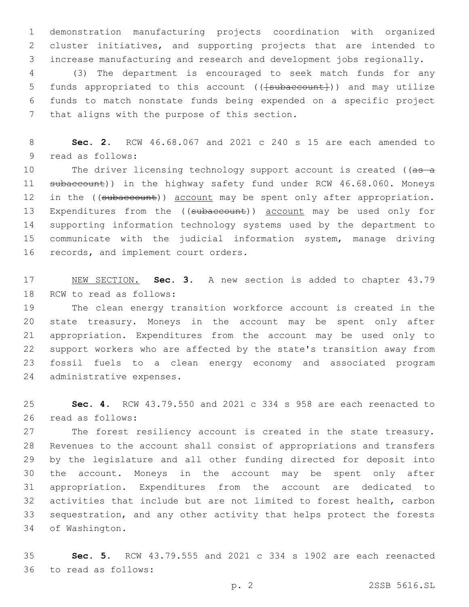demonstration manufacturing projects coordination with organized cluster initiatives, and supporting projects that are intended to increase manufacturing and research and development jobs regionally.

 (3) The department is encouraged to seek match funds for any 5 funds appropriated to this account (( $\{\text{subaccount}\})$ ) and may utilize funds to match nonstate funds being expended on a specific project 7 that aligns with the purpose of this section.

 **Sec. 2.** RCW 46.68.067 and 2021 c 240 s 15 are each amended to 9 read as follows:

10 The driver licensing technology support account is created ((as a 11 subaccount)) in the highway safety fund under RCW 46.68.060. Moneys 12 in the ((subaccount)) account may be spent only after appropriation. 13 Expenditures from the ((subaccount)) account may be used only for supporting information technology systems used by the department to communicate with the judicial information system, manage driving 16 records, and implement court orders.

 NEW SECTION. **Sec. 3.** A new section is added to chapter 43.79 18 RCW to read as follows:

 The clean energy transition workforce account is created in the state treasury. Moneys in the account may be spent only after appropriation. Expenditures from the account may be used only to support workers who are affected by the state's transition away from fossil fuels to a clean energy economy and associated program 24 administrative expenses.

 **Sec. 4.** RCW 43.79.550 and 2021 c 334 s 958 are each reenacted to 26 read as follows:

 The forest resiliency account is created in the state treasury. Revenues to the account shall consist of appropriations and transfers by the legislature and all other funding directed for deposit into the account. Moneys in the account may be spent only after appropriation. Expenditures from the account are dedicated to activities that include but are not limited to forest health, carbon sequestration, and any other activity that helps protect the forests 34 of Washington.

 **Sec. 5.** RCW 43.79.555 and 2021 c 334 s 1902 are each reenacted 36 to read as follows: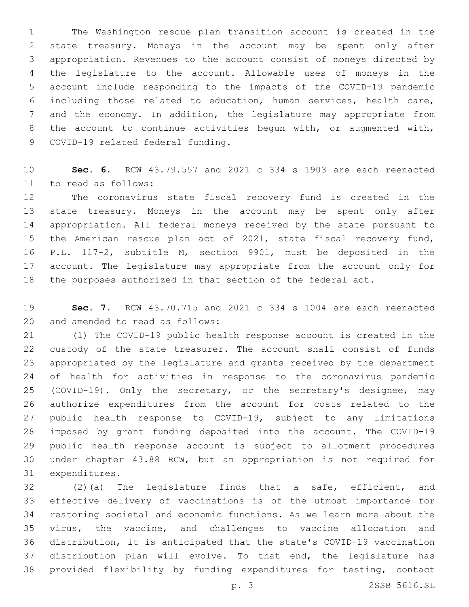The Washington rescue plan transition account is created in the state treasury. Moneys in the account may be spent only after appropriation. Revenues to the account consist of moneys directed by the legislature to the account. Allowable uses of moneys in the account include responding to the impacts of the COVID-19 pandemic including those related to education, human services, health care, and the economy. In addition, the legislature may appropriate from the account to continue activities begun with, or augmented with, 9 COVID-19 related federal funding.

 **Sec. 6.** RCW 43.79.557 and 2021 c 334 s 1903 are each reenacted 11 to read as follows:

 The coronavirus state fiscal recovery fund is created in the state treasury. Moneys in the account may be spent only after appropriation. All federal moneys received by the state pursuant to the American rescue plan act of 2021, state fiscal recovery fund, P.L. 117-2, subtitle M, section 9901, must be deposited in the account. The legislature may appropriate from the account only for the purposes authorized in that section of the federal act.

 **Sec. 7.** RCW 43.70.715 and 2021 c 334 s 1004 are each reenacted 20 and amended to read as follows:

 (1) The COVID-19 public health response account is created in the custody of the state treasurer. The account shall consist of funds appropriated by the legislature and grants received by the department of health for activities in response to the coronavirus pandemic (COVID-19). Only the secretary, or the secretary's designee, may authorize expenditures from the account for costs related to the public health response to COVID-19, subject to any limitations imposed by grant funding deposited into the account. The COVID-19 public health response account is subject to allotment procedures under chapter 43.88 RCW, but an appropriation is not required for 31 expenditures.

 (2)(a) The legislature finds that a safe, efficient, and effective delivery of vaccinations is of the utmost importance for restoring societal and economic functions. As we learn more about the virus, the vaccine, and challenges to vaccine allocation and distribution, it is anticipated that the state's COVID-19 vaccination distribution plan will evolve. To that end, the legislature has provided flexibility by funding expenditures for testing, contact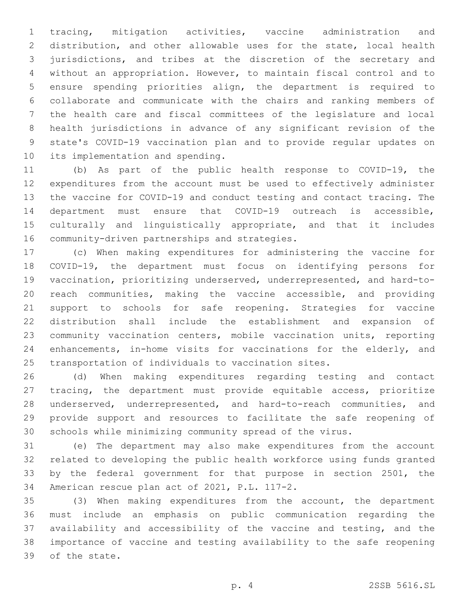tracing, mitigation activities, vaccine administration and distribution, and other allowable uses for the state, local health jurisdictions, and tribes at the discretion of the secretary and without an appropriation. However, to maintain fiscal control and to ensure spending priorities align, the department is required to collaborate and communicate with the chairs and ranking members of the health care and fiscal committees of the legislature and local health jurisdictions in advance of any significant revision of the state's COVID-19 vaccination plan and to provide regular updates on 10 its implementation and spending.

 (b) As part of the public health response to COVID-19, the expenditures from the account must be used to effectively administer the vaccine for COVID-19 and conduct testing and contact tracing. The department must ensure that COVID-19 outreach is accessible, culturally and linguistically appropriate, and that it includes 16 community-driven partnerships and strategies.

 (c) When making expenditures for administering the vaccine for COVID-19, the department must focus on identifying persons for vaccination, prioritizing underserved, underrepresented, and hard-to- reach communities, making the vaccine accessible, and providing support to schools for safe reopening. Strategies for vaccine distribution shall include the establishment and expansion of community vaccination centers, mobile vaccination units, reporting enhancements, in-home visits for vaccinations for the elderly, and transportation of individuals to vaccination sites.

 (d) When making expenditures regarding testing and contact tracing, the department must provide equitable access, prioritize underserved, underrepresented, and hard-to-reach communities, and provide support and resources to facilitate the safe reopening of schools while minimizing community spread of the virus.

 (e) The department may also make expenditures from the account related to developing the public health workforce using funds granted by the federal government for that purpose in section 2501, the 34 American rescue plan act of 2021, P.L. 117-2.

 (3) When making expenditures from the account, the department must include an emphasis on public communication regarding the availability and accessibility of the vaccine and testing, and the importance of vaccine and testing availability to the safe reopening 39 of the state.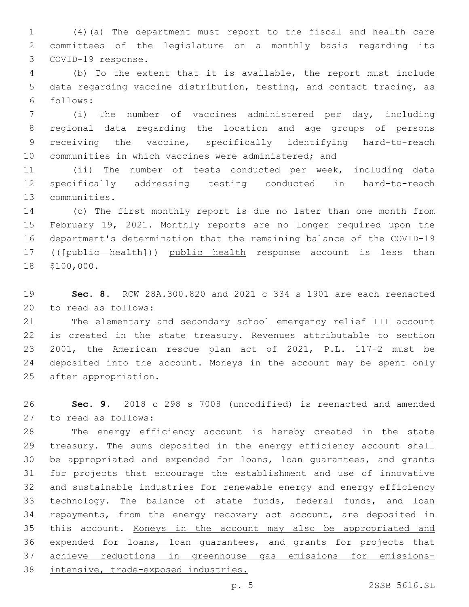(4)(a) The department must report to the fiscal and health care committees of the legislature on a monthly basis regarding its 3 COVID-19 response.

 (b) To the extent that it is available, the report must include data regarding vaccine distribution, testing, and contact tracing, as follows:6

 (i) The number of vaccines administered per day, including regional data regarding the location and age groups of persons receiving the vaccine, specifically identifying hard-to-reach communities in which vaccines were administered; and

 (ii) The number of tests conducted per week, including data specifically addressing testing conducted in hard-to-reach 13 communities.

 (c) The first monthly report is due no later than one month from February 19, 2021. Monthly reports are no longer required upon the department's determination that the remaining balance of the COVID-19 17 (( $\{\text{public health}\})$ ) public health response account is less than 18 \$100,000.

 **Sec. 8.** RCW 28A.300.820 and 2021 c 334 s 1901 are each reenacted 20 to read as follows:

 The elementary and secondary school emergency relief III account is created in the state treasury. Revenues attributable to section 2001, the American rescue plan act of 2021, P.L. 117-2 must be deposited into the account. Moneys in the account may be spent only 25 after appropriation.

 **Sec. 9.** 2018 c 298 s 7008 (uncodified) is reenacted and amended to read as follows:27

 The energy efficiency account is hereby created in the state treasury. The sums deposited in the energy efficiency account shall be appropriated and expended for loans, loan guarantees, and grants for projects that encourage the establishment and use of innovative and sustainable industries for renewable energy and energy efficiency 33 technology. The balance of state funds, federal funds, and loan repayments, from the energy recovery act account, are deposited in this account. Moneys in the account may also be appropriated and 36 expended for loans, loan guarantees, and grants for projects that achieve reductions in greenhouse gas emissions for emissions-intensive, trade-exposed industries.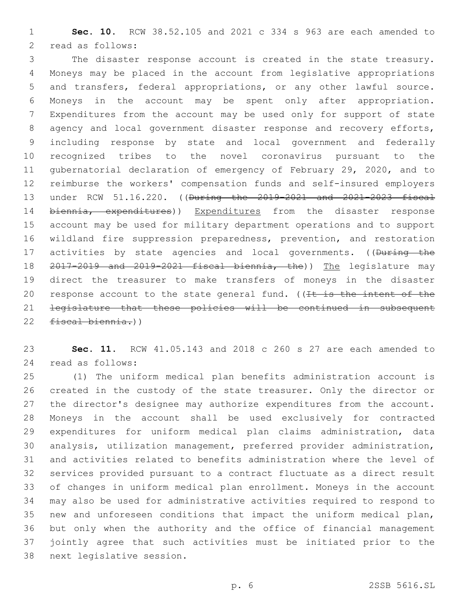**Sec. 10.** RCW 38.52.105 and 2021 c 334 s 963 are each amended to 2 read as follows:

 The disaster response account is created in the state treasury. Moneys may be placed in the account from legislative appropriations and transfers, federal appropriations, or any other lawful source. Moneys in the account may be spent only after appropriation. Expenditures from the account may be used only for support of state 8 agency and local government disaster response and recovery efforts, including response by state and local government and federally recognized tribes to the novel coronavirus pursuant to the gubernatorial declaration of emergency of February 29, 2020, and to reimburse the workers' compensation funds and self-insured employers under RCW 51.16.220. ((During the 2019-2021 and 2021-2023 fiscal 14 biennia, expenditures)) Expenditures from the disaster response account may be used for military department operations and to support wildland fire suppression preparedness, prevention, and restoration 17 activities by state agencies and local governments. ((During the 2017-2019 and 2019-2021 fiscal biennia, the)) The legislature may direct the treasurer to make transfers of moneys in the disaster 20 response account to the state general fund. ( $(It is the intent of the)$  legislature that these policies will be continued in subsequent fiscal biennia.))

 **Sec. 11.** RCW 41.05.143 and 2018 c 260 s 27 are each amended to 24 read as follows:

 (1) The uniform medical plan benefits administration account is created in the custody of the state treasurer. Only the director or the director's designee may authorize expenditures from the account. Moneys in the account shall be used exclusively for contracted expenditures for uniform medical plan claims administration, data analysis, utilization management, preferred provider administration, and activities related to benefits administration where the level of services provided pursuant to a contract fluctuate as a direct result of changes in uniform medical plan enrollment. Moneys in the account may also be used for administrative activities required to respond to new and unforeseen conditions that impact the uniform medical plan, but only when the authority and the office of financial management jointly agree that such activities must be initiated prior to the 38 next legislative session.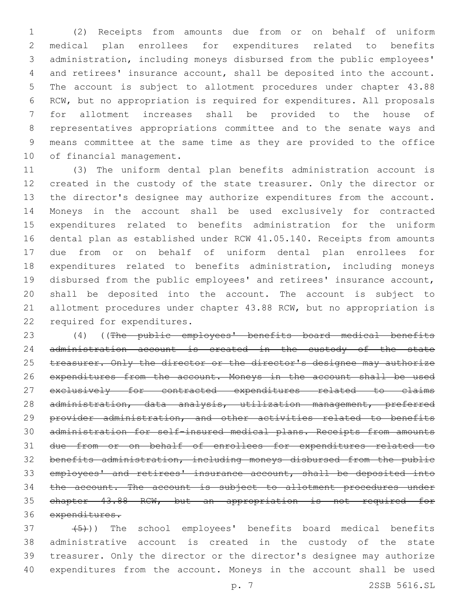(2) Receipts from amounts due from or on behalf of uniform medical plan enrollees for expenditures related to benefits administration, including moneys disbursed from the public employees' and retirees' insurance account, shall be deposited into the account. The account is subject to allotment procedures under chapter 43.88 RCW, but no appropriation is required for expenditures. All proposals for allotment increases shall be provided to the house of representatives appropriations committee and to the senate ways and means committee at the same time as they are provided to the office 10 of financial management.

 (3) The uniform dental plan benefits administration account is 12 created in the custody of the state treasurer. Only the director or the director's designee may authorize expenditures from the account. Moneys in the account shall be used exclusively for contracted expenditures related to benefits administration for the uniform dental plan as established under RCW 41.05.140. Receipts from amounts due from or on behalf of uniform dental plan enrollees for expenditures related to benefits administration, including moneys disbursed from the public employees' and retirees' insurance account, shall be deposited into the account. The account is subject to allotment procedures under chapter 43.88 RCW, but no appropriation is 22 required for expenditures.

 (4) ((The public employees' benefits board medical benefits 24 administration account is created in the custody of the state 25 treasurer. Only the director or the director's designee may authorize 26 expenditures from the account. Moneys in the account shall be used exclusively for contracted expenditures related to claims 28 administration, data analysis, utilization management, preferred provider administration, and other activities related to benefits administration for self-insured medical plans. Receipts from amounts due from or on behalf of enrollees for expenditures related to benefits administration, including moneys disbursed from the public employees' and retirees' insurance account, shall be deposited into 34 the account. The account is subject to allotment procedures under chapter 43.88 RCW, but an appropriation is not required for 36 expenditures.

 $(37 + 5)$ ) The school employees' benefits board medical benefits administrative account is created in the custody of the state treasurer. Only the director or the director's designee may authorize expenditures from the account. Moneys in the account shall be used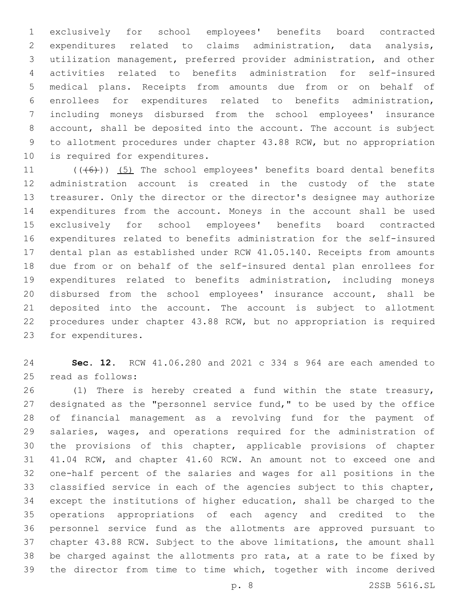exclusively for school employees' benefits board contracted expenditures related to claims administration, data analysis, utilization management, preferred provider administration, and other activities related to benefits administration for self-insured medical plans. Receipts from amounts due from or on behalf of enrollees for expenditures related to benefits administration, including moneys disbursed from the school employees' insurance account, shall be deposited into the account. The account is subject to allotment procedures under chapter 43.88 RCW, but no appropriation 10 is required for expenditures.

 $((+6+))$   $(5)$  The school employees' benefits board dental benefits administration account is created in the custody of the state treasurer. Only the director or the director's designee may authorize expenditures from the account. Moneys in the account shall be used exclusively for school employees' benefits board contracted expenditures related to benefits administration for the self-insured dental plan as established under RCW 41.05.140. Receipts from amounts due from or on behalf of the self-insured dental plan enrollees for expenditures related to benefits administration, including moneys disbursed from the school employees' insurance account, shall be deposited into the account. The account is subject to allotment procedures under chapter 43.88 RCW, but no appropriation is required 23 for expenditures.

 **Sec. 12.** RCW 41.06.280 and 2021 c 334 s 964 are each amended to 25 read as follows:

 (1) There is hereby created a fund within the state treasury, designated as the "personnel service fund," to be used by the office of financial management as a revolving fund for the payment of salaries, wages, and operations required for the administration of the provisions of this chapter, applicable provisions of chapter 41.04 RCW, and chapter 41.60 RCW. An amount not to exceed one and one-half percent of the salaries and wages for all positions in the classified service in each of the agencies subject to this chapter, except the institutions of higher education, shall be charged to the operations appropriations of each agency and credited to the personnel service fund as the allotments are approved pursuant to chapter 43.88 RCW. Subject to the above limitations, the amount shall be charged against the allotments pro rata, at a rate to be fixed by the director from time to time which, together with income derived

p. 8 2SSB 5616.SL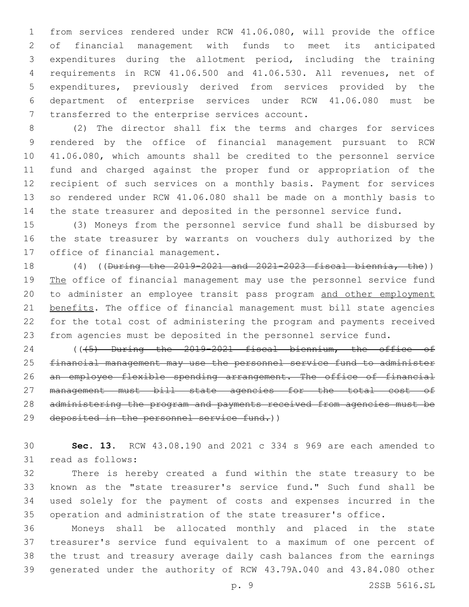from services rendered under RCW 41.06.080, will provide the office of financial management with funds to meet its anticipated expenditures during the allotment period, including the training requirements in RCW 41.06.500 and 41.06.530. All revenues, net of expenditures, previously derived from services provided by the department of enterprise services under RCW 41.06.080 must be 7 transferred to the enterprise services account.

 (2) The director shall fix the terms and charges for services rendered by the office of financial management pursuant to RCW 41.06.080, which amounts shall be credited to the personnel service fund and charged against the proper fund or appropriation of the recipient of such services on a monthly basis. Payment for services so rendered under RCW 41.06.080 shall be made on a monthly basis to the state treasurer and deposited in the personnel service fund.

 (3) Moneys from the personnel service fund shall be disbursed by the state treasurer by warrants on vouchers duly authorized by the 17 office of financial management.

 (4) ((During the 2019-2021 and 2021-2023 fiscal biennia, the)) 19 The office of financial management may use the personnel service fund to administer an employee transit pass program and other employment 21 benefits. The office of financial management must bill state agencies for the total cost of administering the program and payments received from agencies must be deposited in the personnel service fund.

 (((5) During the 2019-2021 fiscal biennium, the office of financial management may use the personnel service fund to administer an employee flexible spending arrangement. The office of financial management must bill state agencies for the total cost of administering the program and payments received from agencies must be deposited in the personnel service fund.))

 **Sec. 13.** RCW 43.08.190 and 2021 c 334 s 969 are each amended to 31 read as follows:

 There is hereby created a fund within the state treasury to be known as the "state treasurer's service fund." Such fund shall be used solely for the payment of costs and expenses incurred in the operation and administration of the state treasurer's office.

 Moneys shall be allocated monthly and placed in the state treasurer's service fund equivalent to a maximum of one percent of the trust and treasury average daily cash balances from the earnings generated under the authority of RCW 43.79A.040 and 43.84.080 other

p. 9 2SSB 5616.SL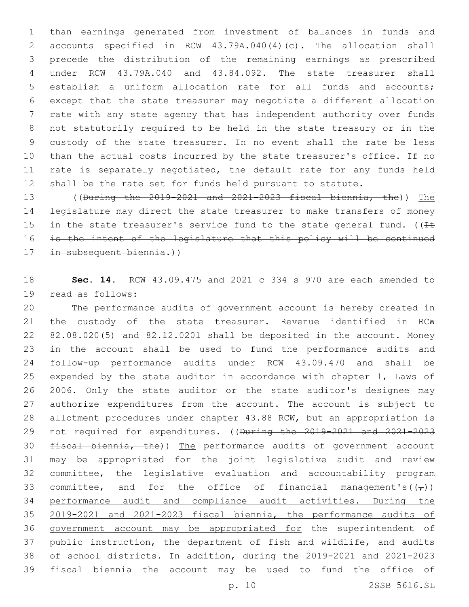than earnings generated from investment of balances in funds and accounts specified in RCW 43.79A.040(4)(c). The allocation shall precede the distribution of the remaining earnings as prescribed under RCW 43.79A.040 and 43.84.092. The state treasurer shall establish a uniform allocation rate for all funds and accounts; except that the state treasurer may negotiate a different allocation rate with any state agency that has independent authority over funds not statutorily required to be held in the state treasury or in the custody of the state treasurer. In no event shall the rate be less than the actual costs incurred by the state treasurer's office. If no 11 rate is separately negotiated, the default rate for any funds held shall be the rate set for funds held pursuant to statute.

 ((During the 2019-2021 and 2021-2023 fiscal biennia, the)) The legislature may direct the state treasurer to make transfers of money 15 in the state treasurer's service fund to the state general fund. ( $I\pm$  is the intent of the legislature that this policy will be continued in subsequent biennia.))

 **Sec. 14.** RCW 43.09.475 and 2021 c 334 s 970 are each amended to 19 read as follows:

 The performance audits of government account is hereby created in the custody of the state treasurer. Revenue identified in RCW 82.08.020(5) and 82.12.0201 shall be deposited in the account. Money in the account shall be used to fund the performance audits and follow-up performance audits under RCW 43.09.470 and shall be expended by the state auditor in accordance with chapter 1, Laws of 2006. Only the state auditor or the state auditor's designee may authorize expenditures from the account. The account is subject to allotment procedures under chapter 43.88 RCW, but an appropriation is not required for expenditures. ((During the 2019-2021 and 2021-2023 30 fiscal biennia, the)) The performance audits of government account may be appropriated for the joint legislative audit and review committee, the legislative evaluation and accountability program 33 committee, and for the office of financial management's( $(\tau)$ ) performance audit and compliance audit activities. During the 2019-2021 and 2021-2023 fiscal biennia, the performance audits of government account may be appropriated for the superintendent of public instruction, the department of fish and wildlife, and audits of school districts. In addition, during the 2019-2021 and 2021-2023 fiscal biennia the account may be used to fund the office of

p. 10 2SSB 5616.SL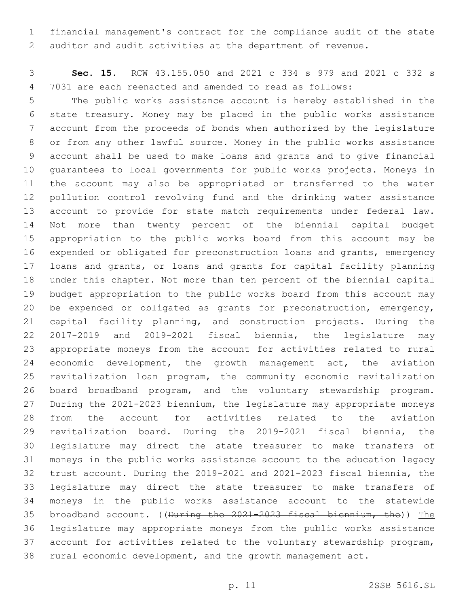financial management's contract for the compliance audit of the state auditor and audit activities at the department of revenue.

 **Sec. 15.** RCW 43.155.050 and 2021 c 334 s 979 and 2021 c 332 s 7031 are each reenacted and amended to read as follows:

 The public works assistance account is hereby established in the state treasury. Money may be placed in the public works assistance account from the proceeds of bonds when authorized by the legislature or from any other lawful source. Money in the public works assistance account shall be used to make loans and grants and to give financial guarantees to local governments for public works projects. Moneys in the account may also be appropriated or transferred to the water pollution control revolving fund and the drinking water assistance account to provide for state match requirements under federal law. Not more than twenty percent of the biennial capital budget appropriation to the public works board from this account may be expended or obligated for preconstruction loans and grants, emergency loans and grants, or loans and grants for capital facility planning under this chapter. Not more than ten percent of the biennial capital budget appropriation to the public works board from this account may be expended or obligated as grants for preconstruction, emergency, capital facility planning, and construction projects. During the 2017-2019 and 2019-2021 fiscal biennia, the legislature may appropriate moneys from the account for activities related to rural economic development, the growth management act, the aviation revitalization loan program, the community economic revitalization board broadband program, and the voluntary stewardship program. During the 2021-2023 biennium, the legislature may appropriate moneys from the account for activities related to the aviation revitalization board. During the 2019-2021 fiscal biennia, the legislature may direct the state treasurer to make transfers of moneys in the public works assistance account to the education legacy trust account. During the 2019-2021 and 2021-2023 fiscal biennia, the legislature may direct the state treasurer to make transfers of moneys in the public works assistance account to the statewide broadband account. ((During the 2021-2023 fiscal biennium, the)) The legislature may appropriate moneys from the public works assistance account for activities related to the voluntary stewardship program, rural economic development, and the growth management act.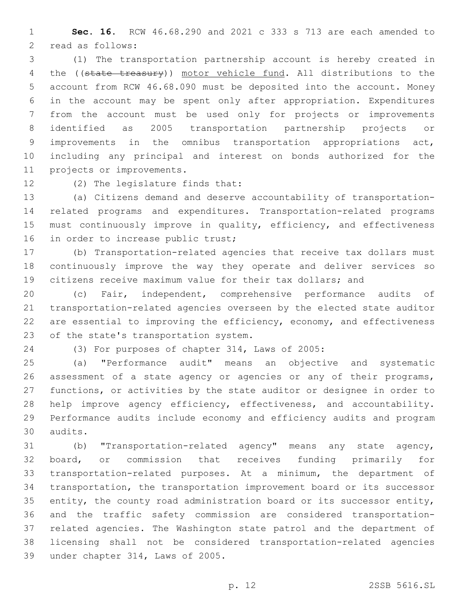**Sec. 16.** RCW 46.68.290 and 2021 c 333 s 713 are each amended to 2 read as follows:

 (1) The transportation partnership account is hereby created in 4 the ((state treasury)) motor vehicle fund. All distributions to the account from RCW 46.68.090 must be deposited into the account. Money in the account may be spent only after appropriation. Expenditures from the account must be used only for projects or improvements identified as 2005 transportation partnership projects or improvements in the omnibus transportation appropriations act, including any principal and interest on bonds authorized for the 11 projects or improvements.

12 (2) The legislature finds that:

 (a) Citizens demand and deserve accountability of transportation- related programs and expenditures. Transportation-related programs must continuously improve in quality, efficiency, and effectiveness 16 in order to increase public trust;

 (b) Transportation-related agencies that receive tax dollars must continuously improve the way they operate and deliver services so citizens receive maximum value for their tax dollars; and

 (c) Fair, independent, comprehensive performance audits of transportation-related agencies overseen by the elected state auditor 22 are essential to improving the efficiency, economy, and effectiveness 23 of the state's transportation system.

(3) For purposes of chapter 314, Laws of 2005:

 (a) "Performance audit" means an objective and systematic 26 assessment of a state agency or agencies or any of their programs, functions, or activities by the state auditor or designee in order to help improve agency efficiency, effectiveness, and accountability. Performance audits include economy and efficiency audits and program audits.30

 (b) "Transportation-related agency" means any state agency, board, or commission that receives funding primarily for transportation-related purposes. At a minimum, the department of transportation, the transportation improvement board or its successor entity, the county road administration board or its successor entity, and the traffic safety commission are considered transportation- related agencies. The Washington state patrol and the department of licensing shall not be considered transportation-related agencies 39 under chapter 314, Laws of 2005.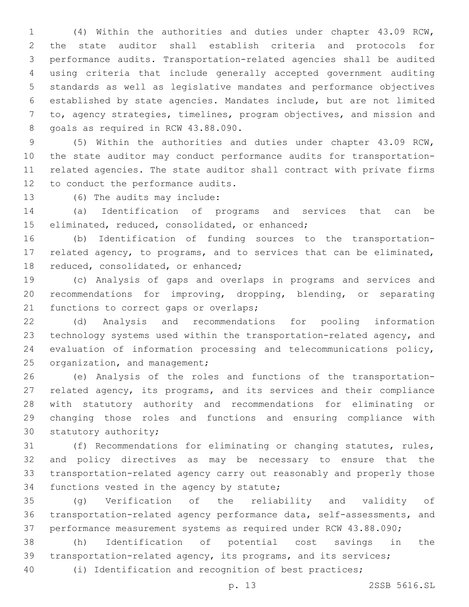(4) Within the authorities and duties under chapter 43.09 RCW, the state auditor shall establish criteria and protocols for performance audits. Transportation-related agencies shall be audited using criteria that include generally accepted government auditing standards as well as legislative mandates and performance objectives established by state agencies. Mandates include, but are not limited to, agency strategies, timelines, program objectives, and mission and 8 goals as required in RCW 43.88.090.

 (5) Within the authorities and duties under chapter 43.09 RCW, the state auditor may conduct performance audits for transportation- related agencies. The state auditor shall contract with private firms 12 to conduct the performance audits.

13 (6) The audits may include:

 (a) Identification of programs and services that can be 15 eliminated, reduced, consolidated, or enhanced;

 (b) Identification of funding sources to the transportation- related agency, to programs, and to services that can be eliminated, 18 reduced, consolidated, or enhanced;

 (c) Analysis of gaps and overlaps in programs and services and recommendations for improving, dropping, blending, or separating 21 functions to correct gaps or overlaps;

 (d) Analysis and recommendations for pooling information technology systems used within the transportation-related agency, and evaluation of information processing and telecommunications policy, 25 organization, and management;

 (e) Analysis of the roles and functions of the transportation- related agency, its programs, and its services and their compliance with statutory authority and recommendations for eliminating or changing those roles and functions and ensuring compliance with 30 statutory authority;

 (f) Recommendations for eliminating or changing statutes, rules, and policy directives as may be necessary to ensure that the transportation-related agency carry out reasonably and properly those 34 functions vested in the agency by statute;

 (g) Verification of the reliability and validity of transportation-related agency performance data, self-assessments, and performance measurement systems as required under RCW 43.88.090;

 (h) Identification of potential cost savings in the transportation-related agency, its programs, and its services;

(i) Identification and recognition of best practices;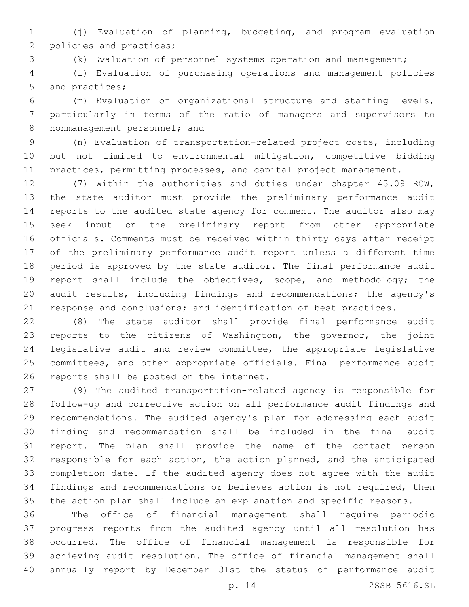(j) Evaluation of planning, budgeting, and program evaluation 2 policies and practices;

(k) Evaluation of personnel systems operation and management;

 (l) Evaluation of purchasing operations and management policies 5 and practices;

 (m) Evaluation of organizational structure and staffing levels, particularly in terms of the ratio of managers and supervisors to 8 nonmanagement personnel; and

 (n) Evaluation of transportation-related project costs, including but not limited to environmental mitigation, competitive bidding 11 practices, permitting processes, and capital project management.

 (7) Within the authorities and duties under chapter 43.09 RCW, the state auditor must provide the preliminary performance audit reports to the audited state agency for comment. The auditor also may seek input on the preliminary report from other appropriate officials. Comments must be received within thirty days after receipt of the preliminary performance audit report unless a different time period is approved by the state auditor. The final performance audit report shall include the objectives, scope, and methodology; the audit results, including findings and recommendations; the agency's response and conclusions; and identification of best practices.

 (8) The state auditor shall provide final performance audit reports to the citizens of Washington, the governor, the joint legislative audit and review committee, the appropriate legislative committees, and other appropriate officials. Final performance audit 26 reports shall be posted on the internet.

 (9) The audited transportation-related agency is responsible for follow-up and corrective action on all performance audit findings and recommendations. The audited agency's plan for addressing each audit finding and recommendation shall be included in the final audit report. The plan shall provide the name of the contact person responsible for each action, the action planned, and the anticipated completion date. If the audited agency does not agree with the audit findings and recommendations or believes action is not required, then the action plan shall include an explanation and specific reasons.

 The office of financial management shall require periodic progress reports from the audited agency until all resolution has occurred. The office of financial management is responsible for achieving audit resolution. The office of financial management shall annually report by December 31st the status of performance audit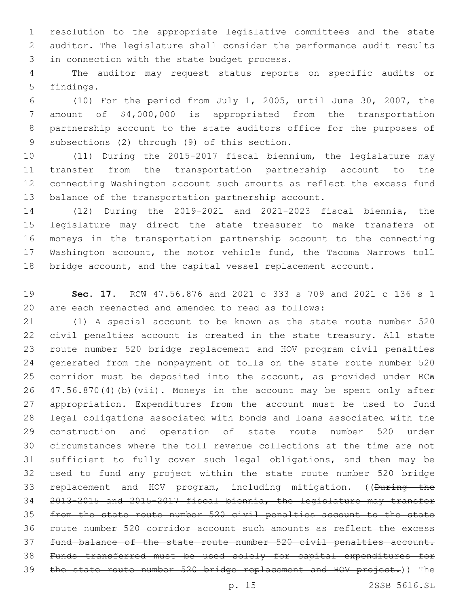resolution to the appropriate legislative committees and the state auditor. The legislature shall consider the performance audit results 3 in connection with the state budget process.

 The auditor may request status reports on specific audits or 5 findings.

 (10) For the period from July 1, 2005, until June 30, 2007, the amount of \$4,000,000 is appropriated from the transportation partnership account to the state auditors office for the purposes of 9 subsections (2) through (9) of this section.

 (11) During the 2015-2017 fiscal biennium, the legislature may transfer from the transportation partnership account to the connecting Washington account such amounts as reflect the excess fund balance of the transportation partnership account.

 (12) During the 2019-2021 and 2021-2023 fiscal biennia, the legislature may direct the state treasurer to make transfers of moneys in the transportation partnership account to the connecting Washington account, the motor vehicle fund, the Tacoma Narrows toll bridge account, and the capital vessel replacement account.

 **Sec. 17.** RCW 47.56.876 and 2021 c 333 s 709 and 2021 c 136 s 1 are each reenacted and amended to read as follows:

 (1) A special account to be known as the state route number 520 civil penalties account is created in the state treasury. All state route number 520 bridge replacement and HOV program civil penalties generated from the nonpayment of tolls on the state route number 520 corridor must be deposited into the account, as provided under RCW 47.56.870(4)(b)(vii). Moneys in the account may be spent only after appropriation. Expenditures from the account must be used to fund legal obligations associated with bonds and loans associated with the construction and operation of state route number 520 under circumstances where the toll revenue collections at the time are not sufficient to fully cover such legal obligations, and then may be used to fund any project within the state route number 520 bridge 33 replacement and HOV program, including mitigation. ((During the 2013-2015 and 2015-2017 fiscal biennia, the legislature may transfer from the state route number 520 civil penalties account to the state route number 520 corridor account such amounts as reflect the excess fund balance of the state route number 520 civil penalties account. Funds transferred must be used solely for capital expenditures for the state route number 520 bridge replacement and HOV project.)) The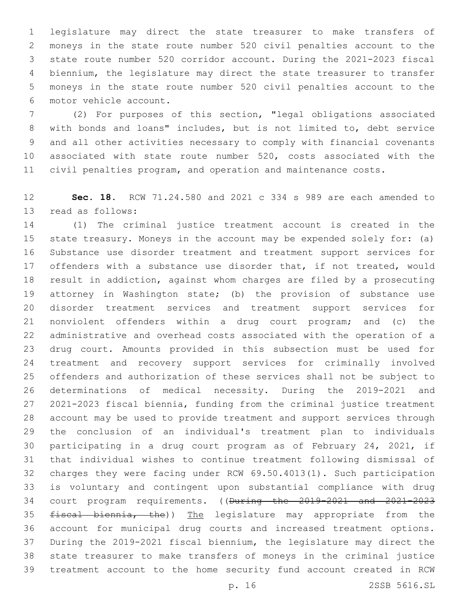legislature may direct the state treasurer to make transfers of moneys in the state route number 520 civil penalties account to the state route number 520 corridor account. During the 2021-2023 fiscal biennium, the legislature may direct the state treasurer to transfer moneys in the state route number 520 civil penalties account to the motor vehicle account.6

 (2) For purposes of this section, "legal obligations associated with bonds and loans" includes, but is not limited to, debt service and all other activities necessary to comply with financial covenants associated with state route number 520, costs associated with the civil penalties program, and operation and maintenance costs.

 **Sec. 18.** RCW 71.24.580 and 2021 c 334 s 989 are each amended to 13 read as follows:

 (1) The criminal justice treatment account is created in the state treasury. Moneys in the account may be expended solely for: (a) Substance use disorder treatment and treatment support services for 17 offenders with a substance use disorder that, if not treated, would result in addiction, against whom charges are filed by a prosecuting attorney in Washington state; (b) the provision of substance use disorder treatment services and treatment support services for nonviolent offenders within a drug court program; and (c) the administrative and overhead costs associated with the operation of a drug court. Amounts provided in this subsection must be used for treatment and recovery support services for criminally involved offenders and authorization of these services shall not be subject to determinations of medical necessity. During the 2019-2021 and 2021-2023 fiscal biennia, funding from the criminal justice treatment account may be used to provide treatment and support services through the conclusion of an individual's treatment plan to individuals participating in a drug court program as of February 24, 2021, if that individual wishes to continue treatment following dismissal of charges they were facing under RCW 69.50.4013(1). Such participation is voluntary and contingent upon substantial compliance with drug court program requirements. ((During the 2019-2021 and 2021-2023 35 fiscal biennia, the)) The legislature may appropriate from the account for municipal drug courts and increased treatment options. During the 2019-2021 fiscal biennium, the legislature may direct the state treasurer to make transfers of moneys in the criminal justice treatment account to the home security fund account created in RCW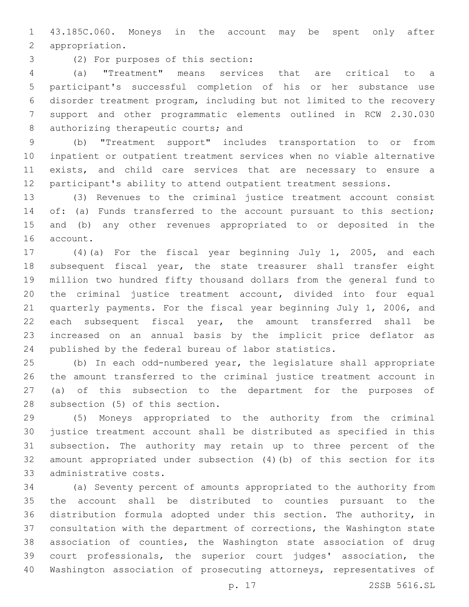43.185C.060. Moneys in the account may be spent only after 2 appropriation.

(2) For purposes of this section:3

 (a) "Treatment" means services that are critical to a participant's successful completion of his or her substance use disorder treatment program, including but not limited to the recovery support and other programmatic elements outlined in RCW 2.30.030 8 authorizing therapeutic courts; and

 (b) "Treatment support" includes transportation to or from inpatient or outpatient treatment services when no viable alternative exists, and child care services that are necessary to ensure a participant's ability to attend outpatient treatment sessions.

 (3) Revenues to the criminal justice treatment account consist 14 of: (a) Funds transferred to the account pursuant to this section; and (b) any other revenues appropriated to or deposited in the 16 account.

 (4)(a) For the fiscal year beginning July 1, 2005, and each 18 subsequent fiscal year, the state treasurer shall transfer eight million two hundred fifty thousand dollars from the general fund to the criminal justice treatment account, divided into four equal quarterly payments. For the fiscal year beginning July 1, 2006, and each subsequent fiscal year, the amount transferred shall be increased on an annual basis by the implicit price deflator as published by the federal bureau of labor statistics.

 (b) In each odd-numbered year, the legislature shall appropriate the amount transferred to the criminal justice treatment account in (a) of this subsection to the department for the purposes of 28 subsection (5) of this section.

 (5) Moneys appropriated to the authority from the criminal justice treatment account shall be distributed as specified in this subsection. The authority may retain up to three percent of the amount appropriated under subsection (4)(b) of this section for its 33 administrative costs.

 (a) Seventy percent of amounts appropriated to the authority from the account shall be distributed to counties pursuant to the distribution formula adopted under this section. The authority, in consultation with the department of corrections, the Washington state association of counties, the Washington state association of drug court professionals, the superior court judges' association, the Washington association of prosecuting attorneys, representatives of

p. 17 2SSB 5616.SL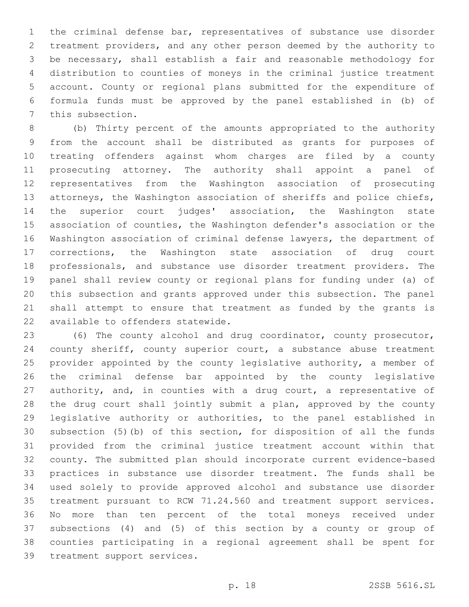the criminal defense bar, representatives of substance use disorder treatment providers, and any other person deemed by the authority to be necessary, shall establish a fair and reasonable methodology for distribution to counties of moneys in the criminal justice treatment account. County or regional plans submitted for the expenditure of formula funds must be approved by the panel established in (b) of 7 this subsection.

 (b) Thirty percent of the amounts appropriated to the authority from the account shall be distributed as grants for purposes of treating offenders against whom charges are filed by a county prosecuting attorney. The authority shall appoint a panel of representatives from the Washington association of prosecuting attorneys, the Washington association of sheriffs and police chiefs, the superior court judges' association, the Washington state association of counties, the Washington defender's association or the Washington association of criminal defense lawyers, the department of corrections, the Washington state association of drug court professionals, and substance use disorder treatment providers. The panel shall review county or regional plans for funding under (a) of this subsection and grants approved under this subsection. The panel shall attempt to ensure that treatment as funded by the grants is 22 available to offenders statewide.

 (6) The county alcohol and drug coordinator, county prosecutor, county sheriff, county superior court, a substance abuse treatment provider appointed by the county legislative authority, a member of the criminal defense bar appointed by the county legislative 27 authority, and, in counties with a drug court, a representative of the drug court shall jointly submit a plan, approved by the county legislative authority or authorities, to the panel established in subsection (5)(b) of this section, for disposition of all the funds provided from the criminal justice treatment account within that county. The submitted plan should incorporate current evidence-based practices in substance use disorder treatment. The funds shall be used solely to provide approved alcohol and substance use disorder treatment pursuant to RCW 71.24.560 and treatment support services. No more than ten percent of the total moneys received under subsections (4) and (5) of this section by a county or group of counties participating in a regional agreement shall be spent for 39 treatment support services.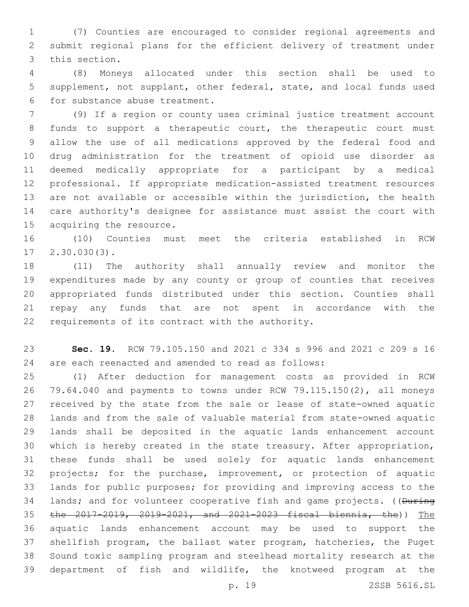(7) Counties are encouraged to consider regional agreements and submit regional plans for the efficient delivery of treatment under 3 this section.

 (8) Moneys allocated under this section shall be used to supplement, not supplant, other federal, state, and local funds used 6 for substance abuse treatment.

 (9) If a region or county uses criminal justice treatment account funds to support a therapeutic court, the therapeutic court must allow the use of all medications approved by the federal food and drug administration for the treatment of opioid use disorder as deemed medically appropriate for a participant by a medical professional. If appropriate medication-assisted treatment resources are not available or accessible within the jurisdiction, the health care authority's designee for assistance must assist the court with 15 acquiring the resource.

 (10) Counties must meet the criteria established in RCW  $17 \quad 2.30.030(3)$ .

 (11) The authority shall annually review and monitor the expenditures made by any county or group of counties that receives appropriated funds distributed under this section. Counties shall repay any funds that are not spent in accordance with the 22 requirements of its contract with the authority.

 **Sec. 19.** RCW 79.105.150 and 2021 c 334 s 996 and 2021 c 209 s 16 are each reenacted and amended to read as follows:

 (1) After deduction for management costs as provided in RCW 79.64.040 and payments to towns under RCW 79.115.150(2), all moneys received by the state from the sale or lease of state-owned aquatic lands and from the sale of valuable material from state-owned aquatic lands shall be deposited in the aquatic lands enhancement account which is hereby created in the state treasury. After appropriation, these funds shall be used solely for aquatic lands enhancement projects; for the purchase, improvement, or protection of aquatic lands for public purposes; for providing and improving access to the 34 lands; and for volunteer cooperative fish and game projects. ((During the 2017-2019, 2019-2021, and 2021-2023 fiscal biennia, the)) The aquatic lands enhancement account may be used to support the shellfish program, the ballast water program, hatcheries, the Puget Sound toxic sampling program and steelhead mortality research at the department of fish and wildlife, the knotweed program at the

p. 19 2SSB 5616.SL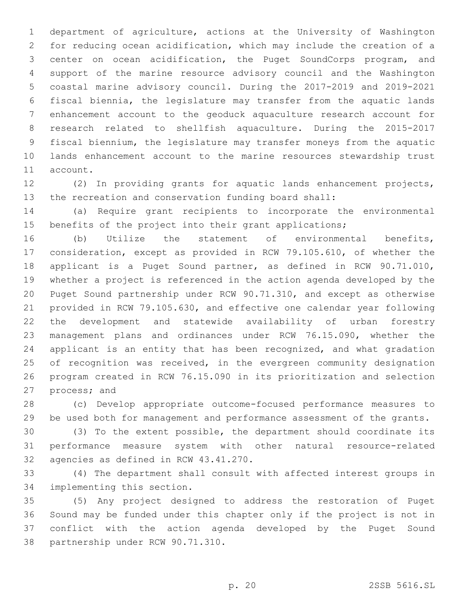department of agriculture, actions at the University of Washington for reducing ocean acidification, which may include the creation of a center on ocean acidification, the Puget SoundCorps program, and support of the marine resource advisory council and the Washington coastal marine advisory council. During the 2017-2019 and 2019-2021 fiscal biennia, the legislature may transfer from the aquatic lands enhancement account to the geoduck aquaculture research account for research related to shellfish aquaculture. During the 2015-2017 fiscal biennium, the legislature may transfer moneys from the aquatic lands enhancement account to the marine resources stewardship trust 11 account.

 (2) In providing grants for aquatic lands enhancement projects, the recreation and conservation funding board shall:

 (a) Require grant recipients to incorporate the environmental 15 benefits of the project into their grant applications;

 (b) Utilize the statement of environmental benefits, consideration, except as provided in RCW 79.105.610, of whether the applicant is a Puget Sound partner, as defined in RCW 90.71.010, whether a project is referenced in the action agenda developed by the Puget Sound partnership under RCW 90.71.310, and except as otherwise provided in RCW 79.105.630, and effective one calendar year following the development and statewide availability of urban forestry management plans and ordinances under RCW 76.15.090, whether the applicant is an entity that has been recognized, and what gradation 25 of recognition was received, in the evergreen community designation program created in RCW 76.15.090 in its prioritization and selection 27 process; and

 (c) Develop appropriate outcome-focused performance measures to be used both for management and performance assessment of the grants.

 (3) To the extent possible, the department should coordinate its performance measure system with other natural resource-related 32 agencies as defined in RCW 43.41.270.

 (4) The department shall consult with affected interest groups in 34 implementing this section.

 (5) Any project designed to address the restoration of Puget Sound may be funded under this chapter only if the project is not in conflict with the action agenda developed by the Puget Sound 38 partnership under RCW 90.71.310.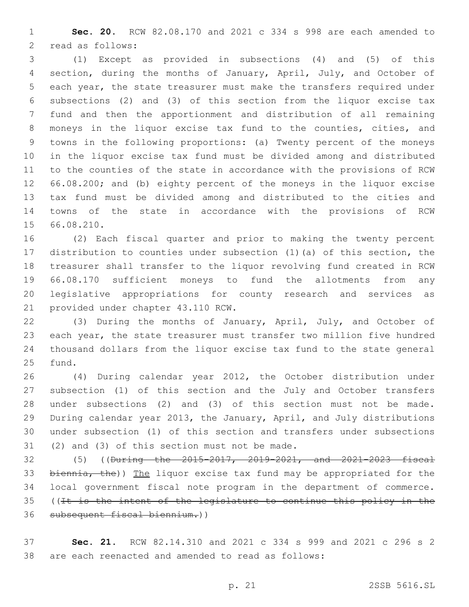**Sec. 20.** RCW 82.08.170 and 2021 c 334 s 998 are each amended to 2 read as follows:

 (1) Except as provided in subsections (4) and (5) of this section, during the months of January, April, July, and October of each year, the state treasurer must make the transfers required under subsections (2) and (3) of this section from the liquor excise tax fund and then the apportionment and distribution of all remaining moneys in the liquor excise tax fund to the counties, cities, and towns in the following proportions: (a) Twenty percent of the moneys in the liquor excise tax fund must be divided among and distributed to the counties of the state in accordance with the provisions of RCW 66.08.200; and (b) eighty percent of the moneys in the liquor excise tax fund must be divided among and distributed to the cities and towns of the state in accordance with the provisions of RCW 15 66.08.210.

 (2) Each fiscal quarter and prior to making the twenty percent distribution to counties under subsection (1)(a) of this section, the treasurer shall transfer to the liquor revolving fund created in RCW 66.08.170 sufficient moneys to fund the allotments from any legislative appropriations for county research and services as 21 provided under chapter 43.110 RCW.

 (3) During the months of January, April, July, and October of each year, the state treasurer must transfer two million five hundred thousand dollars from the liquor excise tax fund to the state general 25 fund.

 (4) During calendar year 2012, the October distribution under subsection (1) of this section and the July and October transfers under subsections (2) and (3) of this section must not be made. During calendar year 2013, the January, April, and July distributions under subsection (1) of this section and transfers under subsections (2) and (3) of this section must not be made.

 (5) ((During the 2015-2017, 2019-2021, and 2021-2023 fiscal 33 biennia, the)) The liquor excise tax fund may be appropriated for the local government fiscal note program in the department of commerce. 35 ((It is the intent of the legislature to continue this policy in the subsequent fiscal biennium.))

 **Sec. 21.** RCW 82.14.310 and 2021 c 334 s 999 and 2021 c 296 s 2 are each reenacted and amended to read as follows: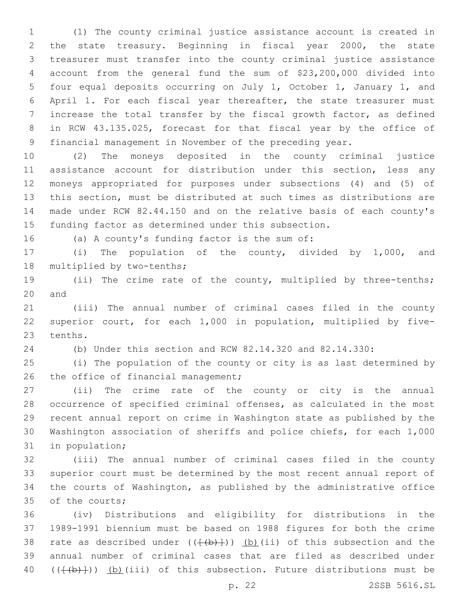(1) The county criminal justice assistance account is created in the state treasury. Beginning in fiscal year 2000, the state treasurer must transfer into the county criminal justice assistance account from the general fund the sum of \$23,200,000 divided into four equal deposits occurring on July 1, October 1, January 1, and April 1. For each fiscal year thereafter, the state treasurer must increase the total transfer by the fiscal growth factor, as defined in RCW 43.135.025, forecast for that fiscal year by the office of financial management in November of the preceding year.

 (2) The moneys deposited in the county criminal justice 11 assistance account for distribution under this section, less any moneys appropriated for purposes under subsections (4) and (5) of this section, must be distributed at such times as distributions are made under RCW 82.44.150 and on the relative basis of each county's funding factor as determined under this subsection.

(a) A county's funding factor is the sum of:16

 (i) The population of the county, divided by 1,000, and 18 multiplied by two-tenths;

 (ii) The crime rate of the county, multiplied by three-tenths; 20 and

 (iii) The annual number of criminal cases filed in the county superior court, for each 1,000 in population, multiplied by five-23 tenths.

(b) Under this section and RCW 82.14.320 and 82.14.330:

 (i) The population of the county or city is as last determined by 26 the office of financial management;

 (ii) The crime rate of the county or city is the annual occurrence of specified criminal offenses, as calculated in the most recent annual report on crime in Washington state as published by the Washington association of sheriffs and police chiefs, for each 1,000 31 in population;

 (iii) The annual number of criminal cases filed in the county superior court must be determined by the most recent annual report of the courts of Washington, as published by the administrative office 35 of the courts;

 (iv) Distributions and eligibility for distributions in the 1989-1991 biennium must be based on 1988 figures for both the crime 38 rate as described under  $((+(b)+))$  (b)(ii) of this subsection and the annual number of criminal cases that are filed as described under  $((+(b)+))$  (b)(iii) of this subsection. Future distributions must be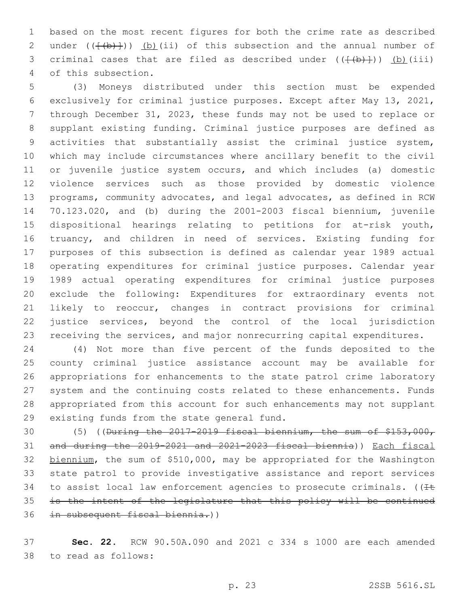based on the most recent figures for both the crime rate as described 2 under  $((+(b)+))$  (b)(ii) of this subsection and the annual number of 3 criminal cases that are filed as described under  $((\{a+b\})$  (b)(iii) 4 of this subsection.

 (3) Moneys distributed under this section must be expended exclusively for criminal justice purposes. Except after May 13, 2021, through December 31, 2023, these funds may not be used to replace or supplant existing funding. Criminal justice purposes are defined as activities that substantially assist the criminal justice system, which may include circumstances where ancillary benefit to the civil or juvenile justice system occurs, and which includes (a) domestic violence services such as those provided by domestic violence programs, community advocates, and legal advocates, as defined in RCW 70.123.020, and (b) during the 2001-2003 fiscal biennium, juvenile dispositional hearings relating to petitions for at-risk youth, truancy, and children in need of services. Existing funding for purposes of this subsection is defined as calendar year 1989 actual operating expenditures for criminal justice purposes. Calendar year 1989 actual operating expenditures for criminal justice purposes exclude the following: Expenditures for extraordinary events not likely to reoccur, changes in contract provisions for criminal justice services, beyond the control of the local jurisdiction receiving the services, and major nonrecurring capital expenditures.

 (4) Not more than five percent of the funds deposited to the county criminal justice assistance account may be available for appropriations for enhancements to the state patrol crime laboratory system and the continuing costs related to these enhancements. Funds appropriated from this account for such enhancements may not supplant 29 existing funds from the state general fund.

 (5) ((During the 2017-2019 fiscal biennium, the sum of \$153,000, and during the 2019-2021 and 2021-2023 fiscal biennia)) Each fiscal 32 biennium, the sum of \$510,000, may be appropriated for the Washington state patrol to provide investigative assistance and report services 34 to assist local law enforcement agencies to prosecute criminals. ( $I\pm$  is the intent of the legislature that this policy will be continued in subsequent fiscal biennia.))

 **Sec. 22.** RCW 90.50A.090 and 2021 c 334 s 1000 are each amended to read as follows:38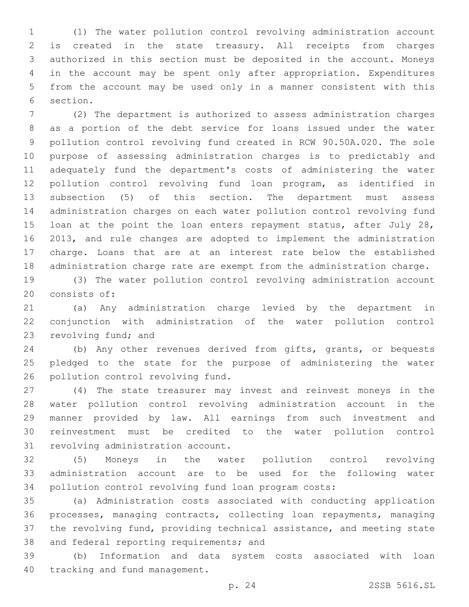(1) The water pollution control revolving administration account is created in the state treasury. All receipts from charges authorized in this section must be deposited in the account. Moneys in the account may be spent only after appropriation. Expenditures from the account may be used only in a manner consistent with this 6 section.

 (2) The department is authorized to assess administration charges as a portion of the debt service for loans issued under the water pollution control revolving fund created in RCW 90.50A.020. The sole purpose of assessing administration charges is to predictably and adequately fund the department's costs of administering the water pollution control revolving fund loan program, as identified in subsection (5) of this section. The department must assess administration charges on each water pollution control revolving fund 15 loan at the point the loan enters repayment status, after July 28, 2013, and rule changes are adopted to implement the administration charge. Loans that are at an interest rate below the established administration charge rate are exempt from the administration charge.

 (3) The water pollution control revolving administration account 20 consists of:

 (a) Any administration charge levied by the department in conjunction with administration of the water pollution control 23 revolving fund; and

 (b) Any other revenues derived from gifts, grants, or bequests pledged to the state for the purpose of administering the water 26 pollution control revolving fund.

 (4) The state treasurer may invest and reinvest moneys in the water pollution control revolving administration account in the manner provided by law. All earnings from such investment and reinvestment must be credited to the water pollution control 31 revolving administration account.

 (5) Moneys in the water pollution control revolving administration account are to be used for the following water pollution control revolving fund loan program costs:

 (a) Administration costs associated with conducting application processes, managing contracts, collecting loan repayments, managing the revolving fund, providing technical assistance, and meeting state 38 and federal reporting requirements; and

 (b) Information and data system costs associated with loan 40 tracking and fund management.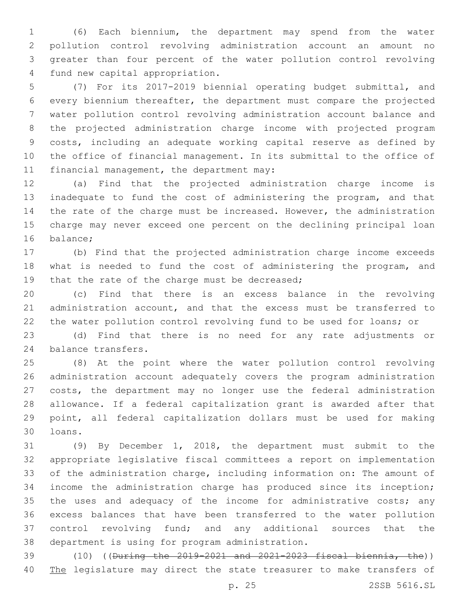(6) Each biennium, the department may spend from the water pollution control revolving administration account an amount no greater than four percent of the water pollution control revolving 4 fund new capital appropriation.

 (7) For its 2017-2019 biennial operating budget submittal, and every biennium thereafter, the department must compare the projected water pollution control revolving administration account balance and the projected administration charge income with projected program costs, including an adequate working capital reserve as defined by the office of financial management. In its submittal to the office of 11 financial management, the department may:

 (a) Find that the projected administration charge income is inadequate to fund the cost of administering the program, and that 14 the rate of the charge must be increased. However, the administration charge may never exceed one percent on the declining principal loan 16 balance;

 (b) Find that the projected administration charge income exceeds what is needed to fund the cost of administering the program, and 19 that the rate of the charge must be decreased;

 (c) Find that there is an excess balance in the revolving administration account, and that the excess must be transferred to the water pollution control revolving fund to be used for loans; or

 (d) Find that there is no need for any rate adjustments or 24 balance transfers.

 (8) At the point where the water pollution control revolving administration account adequately covers the program administration costs, the department may no longer use the federal administration allowance. If a federal capitalization grant is awarded after that point, all federal capitalization dollars must be used for making loans.30

 (9) By December 1, 2018, the department must submit to the appropriate legislative fiscal committees a report on implementation of the administration charge, including information on: The amount of income the administration charge has produced since its inception; 35 the uses and adequacy of the income for administrative costs; any excess balances that have been transferred to the water pollution control revolving fund; and any additional sources that the 38 department is using for program administration.

 (10) ((During the 2019-2021 and 2021-2023 fiscal biennia, the)) 40 The legislature may direct the state treasurer to make transfers of

p. 25 2SSB 5616.SL